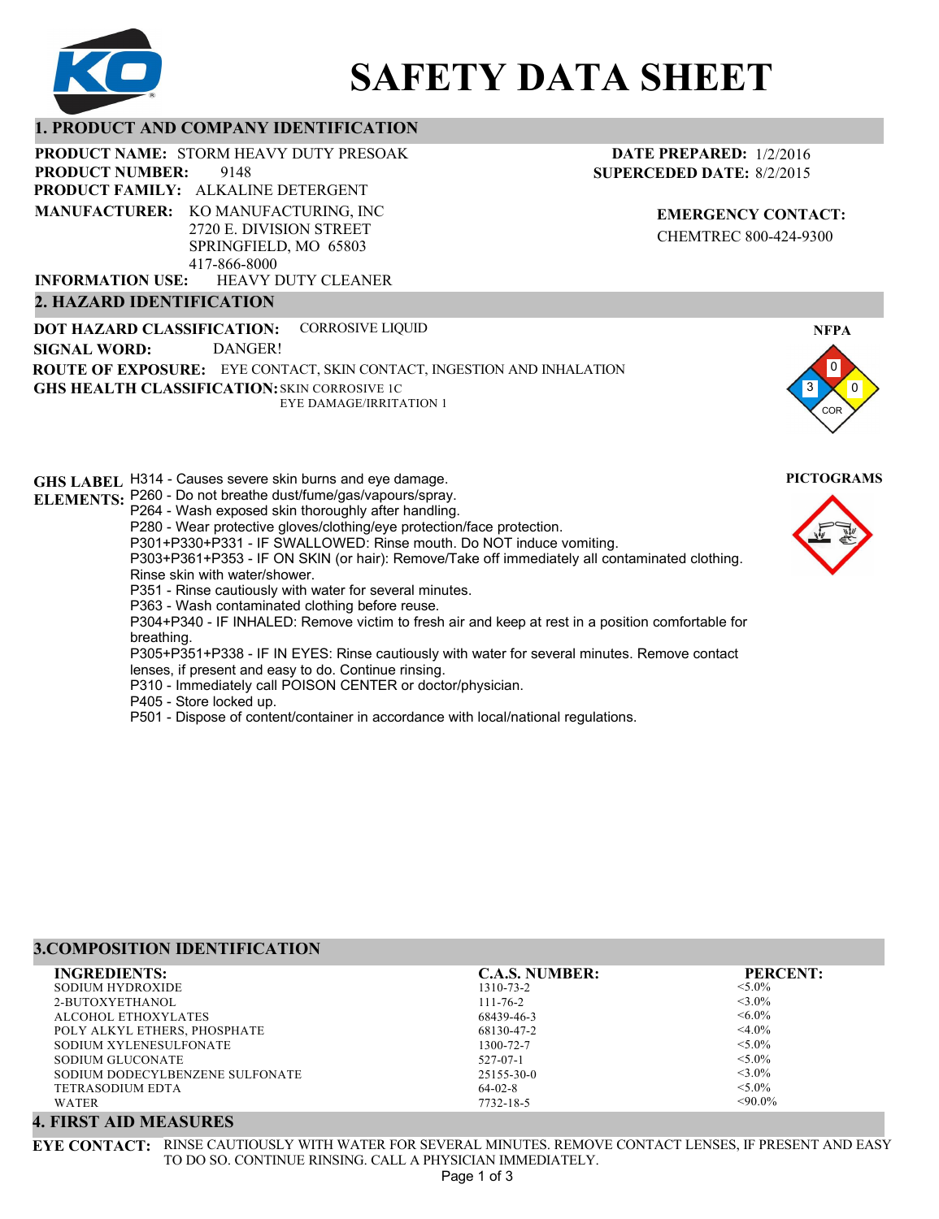

# **SAFETY DATA SHEET**

# **1. PRODUCT AND COMPANY IDENTIFICATION**

**PRODUCT NAME: STORM HEAVY DUTY PRESOAK** 

9148 **PRODUCT NUMBER:**

**PRODUCT FAMILY: ALKALINE DETERGENT MANUFACTURER:** KO MANUFACTURING, INC 2720 E. DIVISION STREET SPRINGFIELD, MO 65803 417-866-8000

HEAVY DUTY CLEANER **INFORMATION USE:**

# **2. HAZARD IDENTIFICATION**

**DOT HAZARD CLASSIFICATION: GHS HEALTH CLASSIFICATION:** SKIN CORROSIVE 1C **ROUTE OF EXPOSURE:** EYE CONTACT, SKIN CONTACT, INGESTION AND INHALATION CORROSIVE LIQUID EYE DAMAGE/IRRITATION 1 **SIGNAL WORD:** DANGER!

**GHS LABEL**  H314 - Causes severe skin burns and eye damage. **PICTOGRAMS ELEMENTS:** P260 - Do not breathe dust/fume/gas/vapours/spray. P264 - Wash exposed skin thoroughly after handling. P280 - Wear protective gloves/clothing/eye protection/face protection. P301+P330+P331 - IF SWALLOWED: Rinse mouth. Do NOT induce vomiting. P303+P361+P353 - IF ON SKIN (or hair): Remove/Take off immediately all contaminated clothing. Rinse skin with water/shower. P351 - Rinse cautiously with water for several minutes. P363 - Wash contaminated clothing before reuse. P304+P340 - IF INHALED: Remove victim to fresh air and keep at rest in a position comfortable for breathing. P305+P351+P338 - IF IN EYES: Rinse cautiously with water for several minutes. Remove contact lenses, if present and easy to do. Continue rinsing. P310 - Immediately call POISON CENTER or doctor/physician. P405 - Store locked up. P501 - Dispose of content/container in accordance with local/national regulations.

**3.COMPOSITION IDENTIFICATION**

| ,,,,,,,,,,,,,,,,,,,,,,,,,,,,,,,,,,, |                       |                 |  |
|-------------------------------------|-----------------------|-----------------|--|
| <b>INGREDIENTS:</b>                 | <b>C.A.S. NUMBER:</b> | <b>PERCENT:</b> |  |
| <b>SODIUM HYDROXIDE</b>             | 1310-73-2             | $< 5.0\%$       |  |
| 2-BUTOXYETHANOL                     | $111 - 76 - 2$        | $<$ 3.0%        |  |
| ALCOHOL ETHOXYLATES                 | 68439-46-3            | $\leq 6.0\%$    |  |
| POLY ALKYL ETHERS, PHOSPHATE        | 68130-47-2            | $<$ 4.0%        |  |
| SODIUM XYLENESULFONATE              | 1300-72-7             | $< 5.0\%$       |  |
| SODIUM GLUCONATE                    | $527 - 07 - 1$        | $< 5.0\%$       |  |
| SODIUM DODECYLBENZENE SULFONATE     | 25155-30-0            | $<$ 3.0%        |  |
| TETRASODIUM EDTA                    | $64-02-8$             | $< 5.0\%$       |  |
| WATER                               | 7732-18-5             | $<90.0\%$       |  |

# **4. FIRST AID MEASURES**

**EYE CONTACT:** RINSE CAUTIOUSLY WITH WATER FOR SEVERAL MINUTES. REMOVE CONTACT LENSES, IF PRESENT AND EASY TO DO SO. CONTINUE RINSING. CALL A PHYSICIAN IMMEDIATELY. Page 1 of 3



**NFPA**

**EMERGENCY CONTACT:** CHEMTREC 800-424-9300

**DATE PREPARED:** 1/2/2016 **SUPERCEDED DATE:** 8/2/2015

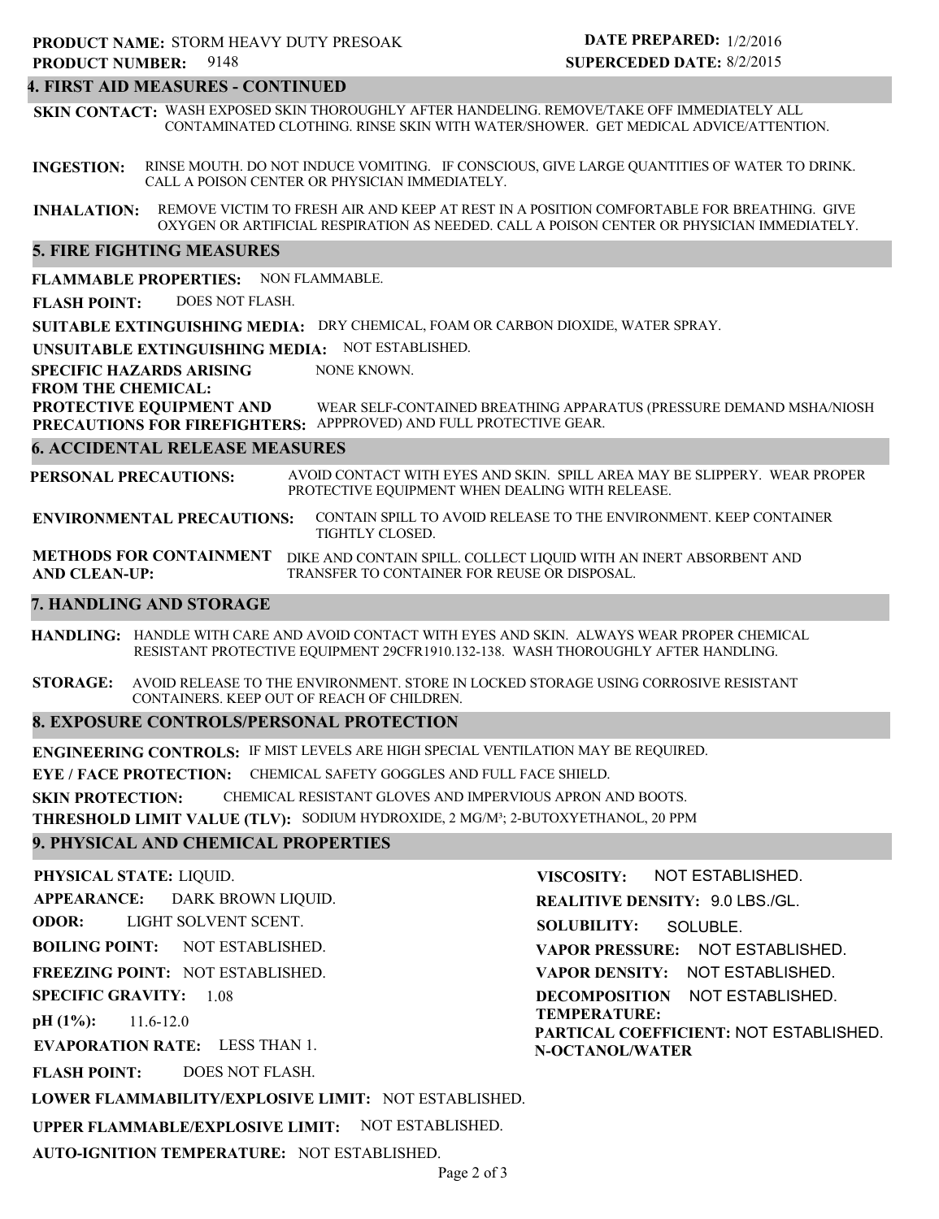# **4. FIRST AID MEASURES - CONTINUED**

**SKIN CONTACT:** WASH EXPOSED SKIN THOROUGHLY AFTER HANDELING. REMOVE/TAKE OFF IMMEDIATELY ALL CONTAMINATED CLOTHING. RINSE SKIN WITH WATER/SHOWER. GET MEDICAL ADVICE/ATTENTION.

**INGESTION:** RINSE MOUTH. DO NOT INDUCE VOMITING. IF CONSCIOUS, GIVE LARGE QUANTITIES OF WATER TO DRINK. CALL A POISON CENTER OR PHYSICIAN IMMEDIATELY.

**INHALATION:** REMOVE VICTIM TO FRESH AIR AND KEEP AT REST IN A POSITION COMFORTABLE FOR BREATHING. GIVE OXYGEN OR ARTIFICIAL RESPIRATION AS NEEDED. CALL A POISON CENTER OR PHYSICIAN IMMEDIATELY.

# **5. FIRE FIGHTING MEASURES**

**FLAMMABLE PROPERTIES:** NON FLAMMABLE.

**FLASH POINT:** DOES NOT FLASH.

**SUITABLE EXTINGUISHING MEDIA:** DRY CHEMICAL, FOAM OR CARBON DIOXIDE, WATER SPRAY.

**UNSUITABLE EXTINGUISHING MEDIA:** NOT ESTABLISHED.

**SPECIFIC HAZARDS ARISING** NONE KNOWN.

**FROM THE CHEMICAL:**

**PROTECTIVE EQUIPMENT AND PRECAUTIONS FOR FIREFIGHTERS:** APPPROVED) AND FULL PROTECTIVE GEAR. WEAR SELF-CONTAINED BREATHING APPARATUS (PRESSURE DEMAND MSHA/NIOSH

# **6. ACCIDENTAL RELEASE MEASURES**

**PERSONAL PRECAUTIONS:** AVOID CONTACT WITH EYES AND SKIN. SPILL AREA MAY BE SLIPPERY. WEAR PROPER PROTECTIVE EQUIPMENT WHEN DEALING WITH RELEASE.

**ENVIRONMENTAL PRECAUTIONS:** CONTAIN SPILL TO AVOID RELEASE TO THE ENVIRONMENT. KEEP CONTAINER TIGHTLY CLOSED.

**METHODS FOR CONTAINMENT** DIKE AND CONTAIN SPILL. COLLECT LIQUID WITH AN INERT ABSORBENT AND **AND CLEAN-UP:** TRANSFER TO CONTAINER FOR REUSE OR DISPOSAL.

# **7. HANDLING AND STORAGE**

**HANDLING:** HANDLE WITH CARE AND AVOID CONTACT WITH EYES AND SKIN. ALWAYS WEAR PROPER CHEMICAL RESISTANT PROTECTIVE EQUIPMENT 29CFR1910.132-138. WASH THOROUGHLY AFTER HANDLING.

**STORAGE:** AVOID RELEASE TO THE ENVIRONMENT. STORE IN LOCKED STORAGE USING CORROSIVE RESISTANT CONTAINERS. KEEP OUT OF REACH OF CHILDREN.

# **8. EXPOSURE CONTROLS/PERSONAL PROTECTION**

**ENGINEERING CONTROLS:** IF MIST LEVELS ARE HIGH SPECIAL VENTILATION MAY BE REQUIRED.

**EYE / FACE PROTECTION:** CHEMICAL SAFETY GOGGLES AND FULL FACE SHIELD.

**SKIN PROTECTION:** CHEMICAL RESISTANT GLOVES AND IMPERVIOUS APRON AND BOOTS.

**THRESHOLD LIMIT VALUE (TLV):** SODIUM HYDROXIDE, 2 MG/M³; 2-BUTOXYETHANOL, 20 PPM

# **9. PHYSICAL AND CHEMICAL PROPERTIES**

**PHYSICAL STATE:** LIQUID.

**APPEARANCE: ODOR: BOILING POINT: FREEZING POINT:** NOT ESTABLISHED. **SPECIFIC GRAVITY:** 1.08 **pH (1%):** NOT ESTABLISHED. 11.6-12.0 DARK BROWN LIQUID. LIGHT SOLVENT SCENT.

**EVAPORATION RATE:** LESS THAN 1.

**FLASH POINT:** DOES NOT FLASH.

**VISCOSITY: REALITIVE DENSITY:** 9.0 LBS./GL. **SOLUBILITY: VAPOR PRESSURE:** NOT ESTABLISHED. SOLUBLE.

NOT ESTABLISHED.

**VAPOR DENSITY:** NOT ESTABLISHED.

**DECOMPOSITION** NOT ESTABLISHED. **TEMPERATURE: PARTICAL COEFFICIENT:** NOT ESTABLISHED.

**N-OCTANOL/WATER**

**LOWER FLAMMABILITY/EXPLOSIVE LIMIT:** NOT ESTABLISHED.

**UPPER FLAMMABLE/EXPLOSIVE LIMIT:** NOT ESTABLISHED.

**AUTO-IGNITION TEMPERATURE:** NOT ESTABLISHED.